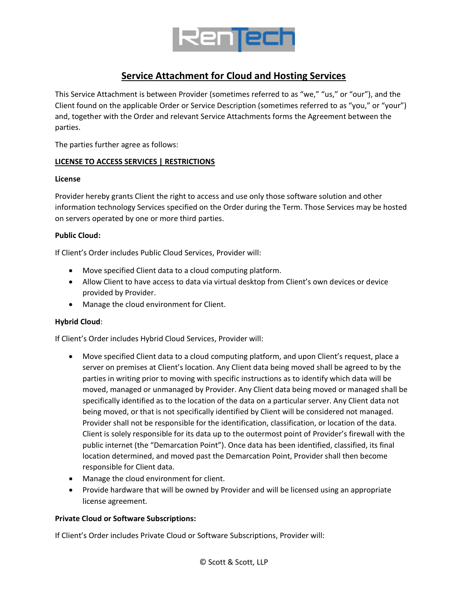

# **Service Attachment for Cloud and Hosting Services**

This Service Attachment is between Provider (sometimes referred to as "we," "us," or "our"), and the Client found on the applicable Order or Service Description (sometimes referred to as "you," or "your") and, together with the Order and relevant Service Attachments forms the Agreement between the parties.

The parties further agree as follows:

## **LICENSE TO ACCESS SERVICES | RESTRICTIONS**

## **License**

Provider hereby grants Client the right to access and use only those software solution and other information technology Services specified on the Order during the Term. Those Services may be hosted on servers operated by one or more third parties.

## **Public Cloud:**

If Client's Order includes Public Cloud Services, Provider will:

- Move specified Client data to a cloud computing platform.
- Allow Client to have access to data via virtual desktop from Client's own devices or device provided by Provider.
- Manage the cloud environment for Client.

## **Hybrid Cloud**:

If Client's Order includes Hybrid Cloud Services, Provider will:

- Move specified Client data to a cloud computing platform, and upon Client's request, place a server on premises at Client's location. Any Client data being moved shall be agreed to by the parties in writing prior to moving with specific instructions as to identify which data will be moved, managed or unmanaged by Provider. Any Client data being moved or managed shall be specifically identified as to the location of the data on a particular server. Any Client data not being moved, or that is not specifically identified by Client will be considered not managed. Provider shall not be responsible for the identification, classification, or location of the data. Client is solely responsible for its data up to the outermost point of Provider's firewall with the public internet (the "Demarcation Point"). Once data has been identified, classified, its final location determined, and moved past the Demarcation Point, Provider shall then become responsible for Client data.
- Manage the cloud environment for client.
- Provide hardware that will be owned by Provider and will be licensed using an appropriate license agreement.

## **Private Cloud or Software Subscriptions:**

If Client's Order includes Private Cloud or Software Subscriptions, Provider will: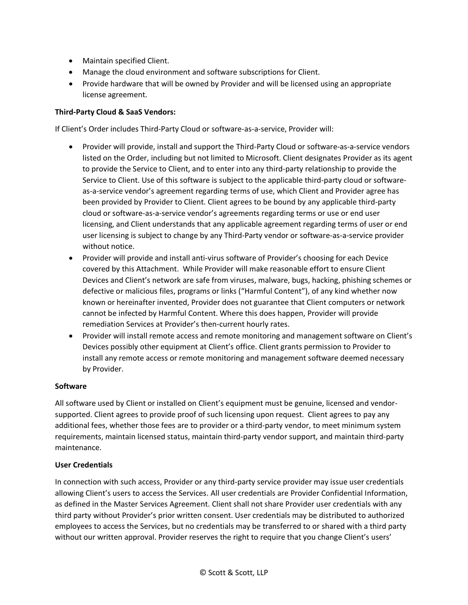- Maintain specified Client.
- Manage the cloud environment and software subscriptions for Client.
- Provide hardware that will be owned by Provider and will be licensed using an appropriate license agreement.

# **Third-Party Cloud & SaaS Vendors:**

If Client's Order includes Third-Party Cloud or software-as-a-service, Provider will:

- Provider will provide, install and support the Third-Party Cloud or software-as-a-service vendors listed on the Order, including but not limited to Microsoft. Client designates Provider as its agent to provide the Service to Client, and to enter into any third-party relationship to provide the Service to Client. Use of this software is subject to the applicable third-party cloud or softwareas-a-service vendor's agreement regarding terms of use, which Client and Provider agree has been provided by Provider to Client. Client agrees to be bound by any applicable third-party cloud or software-as-a-service vendor's agreements regarding terms or use or end user licensing, and Client understands that any applicable agreement regarding terms of user or end user licensing is subject to change by any Third-Party vendor or software-as-a-service provider without notice.
- Provider will provide and install anti-virus software of Provider's choosing for each Device covered by this Attachment. While Provider will make reasonable effort to ensure Client Devices and Client's network are safe from viruses, malware, bugs, hacking, phishing schemes or defective or malicious files, programs or links ("Harmful Content"), of any kind whether now known or hereinafter invented, Provider does not guarantee that Client computers or network cannot be infected by Harmful Content. Where this does happen, Provider will provide remediation Services at Provider's then-current hourly rates.
- Provider will install remote access and remote monitoring and management software on Client's Devices possibly other equipment at Client's office. Client grants permission to Provider to install any remote access or remote monitoring and management software deemed necessary by Provider.

## **Software**

All software used by Client or installed on Client's equipment must be genuine, licensed and vendorsupported. Client agrees to provide proof of such licensing upon request. Client agrees to pay any additional fees, whether those fees are to provider or a third-party vendor, to meet minimum system requirements, maintain licensed status, maintain third-party vendor support, and maintain third-party maintenance.

## **User Credentials**

In connection with such access, Provider or any third-party service provider may issue user credentials allowing Client's users to access the Services. All user credentials are Provider Confidential Information, as defined in the Master Services Agreement. Client shall not share Provider user credentials with any third party without Provider's prior written consent. User credentials may be distributed to authorized employees to access the Services, but no credentials may be transferred to or shared with a third party without our written approval. Provider reserves the right to require that you change Client's users'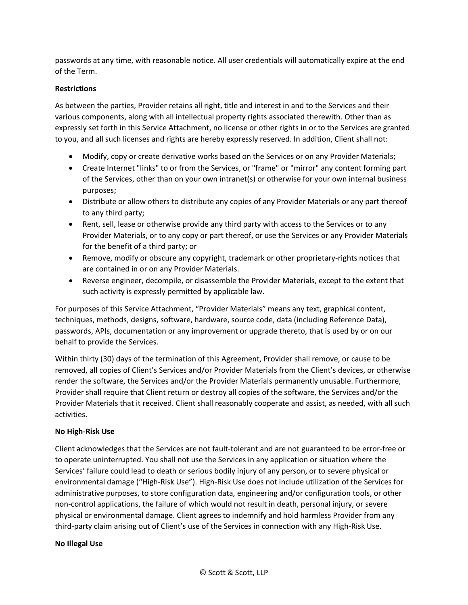passwords at any time, with reasonable notice. All user credentials will automatically expire at the end of the Term.

## **Restrictions**

As between the parties, Provider retains all right, title and interest in and to the Services and their various components, along with all intellectual property rights associated therewith. Other than as expressly set forth in this Service Attachment, no license or other rights in or to the Services are granted to you, and all such licenses and rights are hereby expressly reserved. In addition, Client shall not:

- Modify, copy or create derivative works based on the Services or on any Provider Materials;
- Create Internet "links" to or from the Services, or "frame" or "mirror" any content forming part of the Services, other than on your own intranet(s) or otherwise for your own internal business purposes;
- Distribute or allow others to distribute any copies of any Provider Materials or any part thereof to any third party;
- Rent, sell, lease or otherwise provide any third party with access to the Services or to any Provider Materials, or to any copy or part thereof, or use the Services or any Provider Materials for the benefit of a third party; or
- Remove, modify or obscure any copyright, trademark or other proprietary-rights notices that are contained in or on any Provider Materials.
- Reverse engineer, decompile, or disassemble the Provider Materials, except to the extent that such activity is expressly permitted by applicable law.

For purposes of this Service Attachment, "Provider Materials" means any text, graphical content, techniques, methods, designs, software, hardware, source code, data (including Reference Data), passwords, APIs, documentation or any improvement or upgrade thereto, that is used by or on our behalf to provide the Services.

Within thirty (30) days of the termination of this Agreement, Provider shall remove, or cause to be removed, all copies of Client's Services and/or Provider Materials from the Client's devices, or otherwise render the software, the Services and/or the Provider Materials permanently unusable. Furthermore, Provider shall require that Client return or destroy all copies of the software, the Services and/or the Provider Materials that it received. Client shall reasonably cooperate and assist, as needed, with all such activities.

## **No High-Risk Use**

Client acknowledges that the Services are not fault-tolerant and are not guaranteed to be error-free or to operate uninterrupted. You shall not use the Services in any application or situation where the Services' failure could lead to death or serious bodily injury of any person, or to severe physical or environmental damage ("High-Risk Use"). High-Risk Use does not include utilization of the Services for administrative purposes, to store configuration data, engineering and/or configuration tools, or other non-control applications, the failure of which would not result in death, personal injury, or severe physical or environmental damage. Client agrees to indemnify and hold harmless Provider from any third-party claim arising out of Client's use of the Services in connection with any High-Risk Use.

## **No Illegal Use**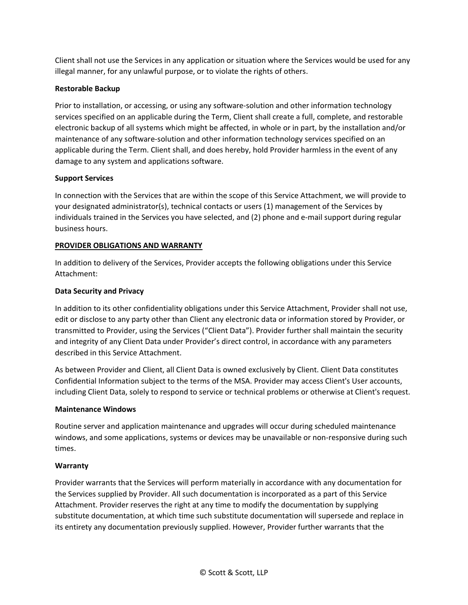Client shall not use the Services in any application or situation where the Services would be used for any illegal manner, for any unlawful purpose, or to violate the rights of others.

# **Restorable Backup**

Prior to installation, or accessing, or using any software-solution and other information technology services specified on an applicable during the Term, Client shall create a full, complete, and restorable electronic backup of all systems which might be affected, in whole or in part, by the installation and/or maintenance of any software-solution and other information technology services specified on an applicable during the Term. Client shall, and does hereby, hold Provider harmless in the event of any damage to any system and applications software.

## **Support Services**

In connection with the Services that are within the scope of this Service Attachment, we will provide to your designated administrator(s), technical contacts or users (1) management of the Services by individuals trained in the Services you have selected, and (2) phone and e-mail support during regular business hours.

## **PROVIDER OBLIGATIONS AND WARRANTY**

In addition to delivery of the Services, Provider accepts the following obligations under this Service Attachment:

## **Data Security and Privacy**

In addition to its other confidentiality obligations under this Service Attachment, Provider shall not use, edit or disclose to any party other than Client any electronic data or information stored by Provider, or transmitted to Provider, using the Services ("Client Data"). Provider further shall maintain the security and integrity of any Client Data under Provider's direct control, in accordance with any parameters described in this Service Attachment.

As between Provider and Client, all Client Data is owned exclusively by Client. Client Data constitutes Confidential Information subject to the terms of the MSA. Provider may access Client's User accounts, including Client Data, solely to respond to service or technical problems or otherwise at Client's request.

## **Maintenance Windows**

Routine server and application maintenance and upgrades will occur during scheduled maintenance windows, and some applications, systems or devices may be unavailable or non-responsive during such times.

## **Warranty**

Provider warrants that the Services will perform materially in accordance with any documentation for the Services supplied by Provider. All such documentation is incorporated as a part of this Service Attachment. Provider reserves the right at any time to modify the documentation by supplying substitute documentation, at which time such substitute documentation will supersede and replace in its entirety any documentation previously supplied. However, Provider further warrants that the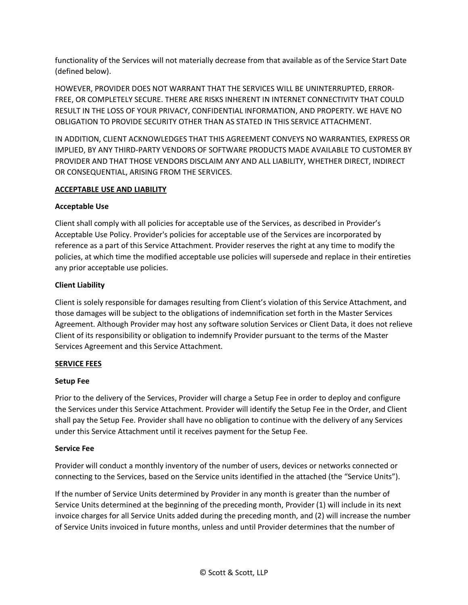functionality of the Services will not materially decrease from that available as of the Service Start Date (defined below).

HOWEVER, PROVIDER DOES NOT WARRANT THAT THE SERVICES WILL BE UNINTERRUPTED, ERROR-FREE, OR COMPLETELY SECURE. THERE ARE RISKS INHERENT IN INTERNET CONNECTIVITY THAT COULD RESULT IN THE LOSS OF YOUR PRIVACY, CONFIDENTIAL INFORMATION, AND PROPERTY. WE HAVE NO OBLIGATION TO PROVIDE SECURITY OTHER THAN AS STATED IN THIS SERVICE ATTACHMENT.

IN ADDITION, CLIENT ACKNOWLEDGES THAT THIS AGREEMENT CONVEYS NO WARRANTIES, EXPRESS OR IMPLIED, BY ANY THIRD-PARTY VENDORS OF SOFTWARE PRODUCTS MADE AVAILABLE TO CUSTOMER BY PROVIDER AND THAT THOSE VENDORS DISCLAIM ANY AND ALL LIABILITY, WHETHER DIRECT, INDIRECT OR CONSEQUENTIAL, ARISING FROM THE SERVICES.

## **ACCEPTABLE USE AND LIABILITY**

## **Acceptable Use**

Client shall comply with all policies for acceptable use of the Services, as described in Provider's Acceptable Use Policy. Provider's policies for acceptable use of the Services are incorporated by reference as a part of this Service Attachment. Provider reserves the right at any time to modify the policies, at which time the modified acceptable use policies will supersede and replace in their entireties any prior acceptable use policies.

## **Client Liability**

Client is solely responsible for damages resulting from Client's violation of this Service Attachment, and those damages will be subject to the obligations of indemnification set forth in the Master Services Agreement. Although Provider may host any software solution Services or Client Data, it does not relieve Client of its responsibility or obligation to indemnify Provider pursuant to the terms of the Master Services Agreement and this Service Attachment.

## **SERVICE FEES**

## **Setup Fee**

Prior to the delivery of the Services, Provider will charge a Setup Fee in order to deploy and configure the Services under this Service Attachment. Provider will identify the Setup Fee in the Order, and Client shall pay the Setup Fee. Provider shall have no obligation to continue with the delivery of any Services under this Service Attachment until it receives payment for the Setup Fee.

## **Service Fee**

Provider will conduct a monthly inventory of the number of users, devices or networks connected or connecting to the Services, based on the Service units identified in the attached (the "Service Units").

If the number of Service Units determined by Provider in any month is greater than the number of Service Units determined at the beginning of the preceding month, Provider (1) will include in its next invoice charges for all Service Units added during the preceding month, and (2) will increase the number of Service Units invoiced in future months, unless and until Provider determines that the number of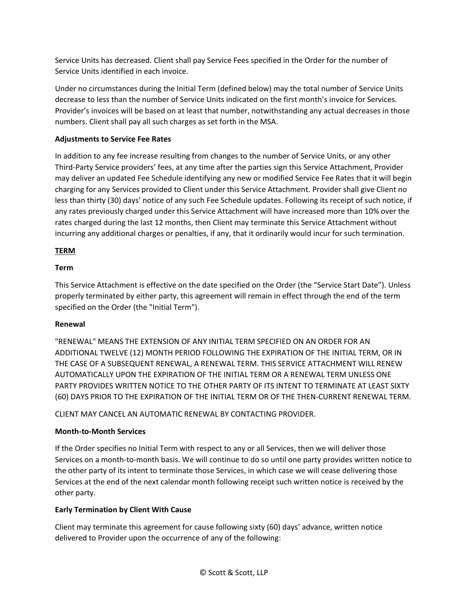Service Units has decreased. Client shall pay Service Fees specified in the Order for the number of Service Units identified in each invoice.

Under no circumstances during the Initial Term (defined below) may the total number of Service Units decrease to less than the number of Service Units indicated on the first month's invoice for Services. Provider's invoices will be based on at least that number, notwithstanding any actual decreases in those numbers. Client shall pay all such charges as set forth in the MSA.

# **Adjustments to Service Fee Rates**

In addition to any fee increase resulting from changes to the number of Service Units, or any other Third-Party Service providers' fees, at any time after the parties sign this Service Attachment, Provider may deliver an updated Fee Schedule identifying any new or modified Service Fee Rates that it will begin charging for any Services provided to Client under this Service Attachment. Provider shall give Client no less than thirty (30) days' notice of any such Fee Schedule updates. Following its receipt of such notice, if any rates previously charged under this Service Attachment will have increased more than 10% over the rates charged during the last 12 months, then Client may terminate this Service Attachment without incurring any additional charges or penalties, if any, that it ordinarily would incur for such termination.

## **TERM**

## **Term**

This Service Attachment is effective on the date specified on the Order (the "Service Start Date"). Unless properly terminated by either party, this agreement will remain in effect through the end of the term specified on the Order (the "Initial Term").

## **Renewal**

"RENEWAL" MEANS THE EXTENSION OF ANY INITIAL TERM SPECIFIED ON AN ORDER FOR AN ADDITIONAL TWELVE (12) MONTH PERIOD FOLLOWING THE EXPIRATION OF THE INITIAL TERM, OR IN THE CASE OF A SUBSEQUENT RENEWAL, A RENEWAL TERM. THIS SERVICE ATTACHMENT WILL RENEW AUTOMATICALLY UPON THE EXPIRATION OF THE INITIAL TERM OR A RENEWAL TERM UNLESS ONE PARTY PROVIDES WRITTEN NOTICE TO THE OTHER PARTY OF ITS INTENT TO TERMINATE AT LEAST SIXTY (60) DAYS PRIOR TO THE EXPIRATION OF THE INITIAL TERM OR OF THE THEN-CURRENT RENEWAL TERM.

CLIENT MAY CANCEL AN AUTOMATIC RENEWAL BY CONTACTING PROVIDER.

## **Month-to-Month Services**

If the Order specifies no Initial Term with respect to any or all Services, then we will deliver those Services on a month-to-month basis. We will continue to do so until one party provides written notice to the other party of its intent to terminate those Services, in which case we will cease delivering those Services at the end of the next calendar month following receipt such written notice is received by the other party.

## **Early Termination by Client With Cause**

Client may terminate this agreement for cause following sixty (60) days' advance, written notice delivered to Provider upon the occurrence of any of the following: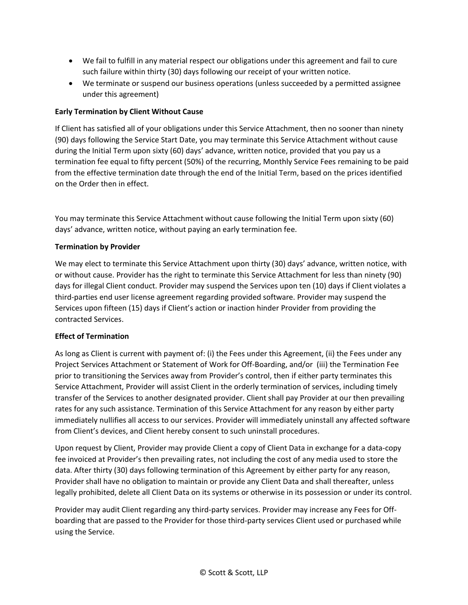- We fail to fulfill in any material respect our obligations under this agreement and fail to cure such failure within thirty (30) days following our receipt of your written notice.
- We terminate or suspend our business operations (unless succeeded by a permitted assignee under this agreement)

# **Early Termination by Client Without Cause**

If Client has satisfied all of your obligations under this Service Attachment, then no sooner than ninety (90) days following the Service Start Date, you may terminate this Service Attachment without cause during the Initial Term upon sixty (60) days' advance, written notice, provided that you pay us a termination fee equal to fifty percent (50%) of the recurring, Monthly Service Fees remaining to be paid from the effective termination date through the end of the Initial Term, based on the prices identified on the Order then in effect.

You may terminate this Service Attachment without cause following the Initial Term upon sixty (60) days' advance, written notice, without paying an early termination fee.

## **Termination by Provider**

We may elect to terminate this Service Attachment upon thirty (30) days' advance, written notice, with or without cause. Provider has the right to terminate this Service Attachment for less than ninety (90) days for illegal Client conduct. Provider may suspend the Services upon ten (10) days if Client violates a third-parties end user license agreement regarding provided software. Provider may suspend the Services upon fifteen (15) days if Client's action or inaction hinder Provider from providing the contracted Services.

## **Effect of Termination**

As long as Client is current with payment of: (i) the Fees under this Agreement, (ii) the Fees under any Project Services Attachment or Statement of Work for Off-Boarding, and/or (iii) the Termination Fee prior to transitioning the Services away from Provider's control, then if either party terminates this Service Attachment, Provider will assist Client in the orderly termination of services, including timely transfer of the Services to another designated provider. Client shall pay Provider at our then prevailing rates for any such assistance. Termination of this Service Attachment for any reason by either party immediately nullifies all access to our services. Provider will immediately uninstall any affected software from Client's devices, and Client hereby consent to such uninstall procedures.

Upon request by Client, Provider may provide Client a copy of Client Data in exchange for a data-copy fee invoiced at Provider's then prevailing rates, not including the cost of any media used to store the data. After thirty (30) days following termination of this Agreement by either party for any reason, Provider shall have no obligation to maintain or provide any Client Data and shall thereafter, unless legally prohibited, delete all Client Data on its systems or otherwise in its possession or under its control.

Provider may audit Client regarding any third-party services. Provider may increase any Fees for Offboarding that are passed to the Provider for those third-party services Client used or purchased while using the Service.